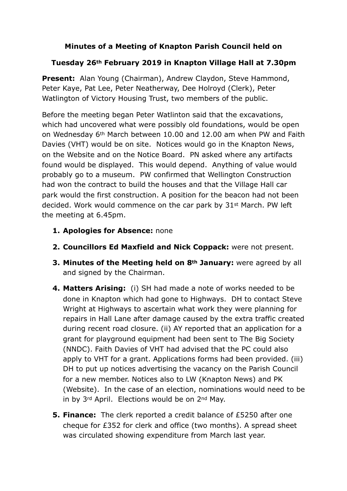## **Minutes of a Meeting of Knapton Parish Council held on**

## **Tuesday 26th February 2019 in Knapton Village Hall at 7.30pm**

**Present:** Alan Young (Chairman), Andrew Claydon, Steve Hammond, Peter Kaye, Pat Lee, Peter Neatherway, Dee Holroyd (Clerk), Peter Watlington of Victory Housing Trust, two members of the public.

Before the meeting began Peter Watlinton said that the excavations, which had uncovered what were possibly old foundations, would be open on Wednesday 6th March between 10.00 and 12.00 am when PW and Faith Davies (VHT) would be on site. Notices would go in the Knapton News, on the Website and on the Notice Board. PN asked where any artifacts found would be displayed. This would depend. Anything of value would probably go to a museum. PW confirmed that Wellington Construction had won the contract to build the houses and that the Village Hall car park would the first construction. A position for the beacon had not been decided. Work would commence on the car park by 31st March. PW left the meeting at 6.45pm.

- **1. Apologies for Absence:** none
- **2. Councillors Ed Maxfield and Nick Coppack:** were not present.
- **3. Minutes of the Meeting held on 8th January:** were agreed by all and signed by the Chairman.
- **4. Matters Arising:** (i) SH had made a note of works needed to be done in Knapton which had gone to Highways. DH to contact Steve Wright at Highways to ascertain what work they were planning for repairs in Hall Lane after damage caused by the extra traffic created during recent road closure. (ii) AY reported that an application for a grant for playground equipment had been sent to The Big Society (NNDC). Faith Davies of VHT had advised that the PC could also apply to VHT for a grant. Applications forms had been provided. (iii) DH to put up notices advertising the vacancy on the Parish Council for a new member. Notices also to LW (Knapton News) and PK (Website). In the case of an election, nominations would need to be in by 3rd April. Elections would be on 2nd May.
- **5. Finance:** The clerk reported a credit balance of £5250 after one cheque for £352 for clerk and office (two months). A spread sheet was circulated showing expenditure from March last year.